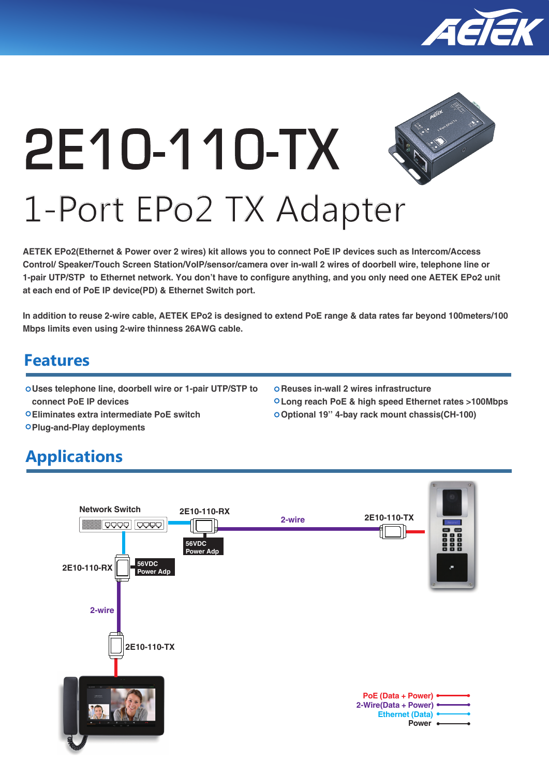

# **2E10-110-TX** 1-Port EPo2 TX Adapter

**AETEK EPo2(Ethernet & Power over 2 wires) kit allows you to connect PoE IP devices such as Intercom/Access Control/ Speaker/Touch Screen Station/VoIP/sensor/camera over in-wall 2 wires of doorbell wire, telephone line or 1-pair UTP/STP to Ethernet network. You don't have to configure anything, and you only need one AETEK EPo2 unit at each end of PoE IP device(PD) & Ethernet Switch port.** 

**In addition to reuse 2-wire cable, AETEK EPo2 is designed to extend PoE range & data rates far beyond 100meters/100 Mbps limits even using 2-wire thinness 26AWG cable.**

## **Features**

**Uses telephone line, doorbell wire or 1-pair UTP/STP to connect PoE IP devices**

**Eliminates extra intermediate PoE switch**

- **Reuses in-wall 2 wires infrastructure**
- **Long reach PoE & high speed Ethernet rates >100Mbps**
- **Optional 19'' 4-bay rack mount chassis(CH-100)**

**Plug-and-Play deployments**

## **Applications**

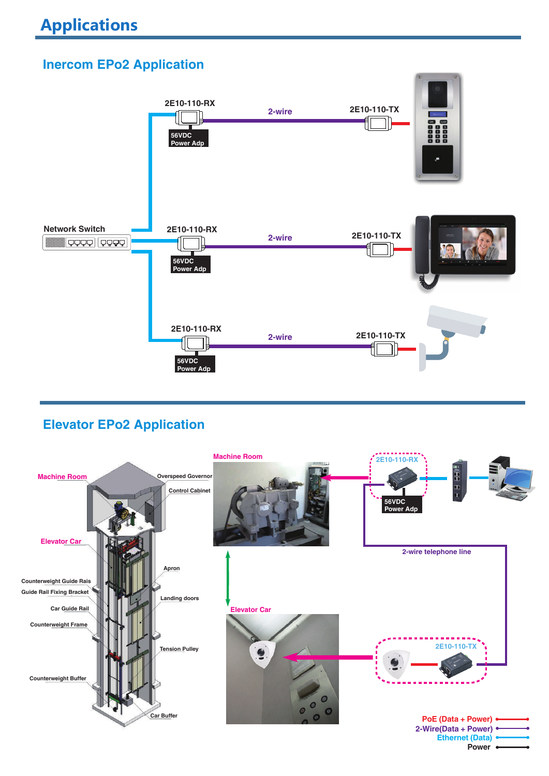## **Inercom EPo2 Application**



### **Elevator EPo2 Application**